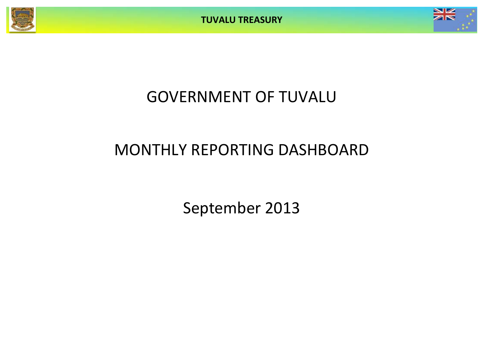



# GOVERNMENT OF TUVALU

# MONTHLY REPORTING DASHBOARD

September 2013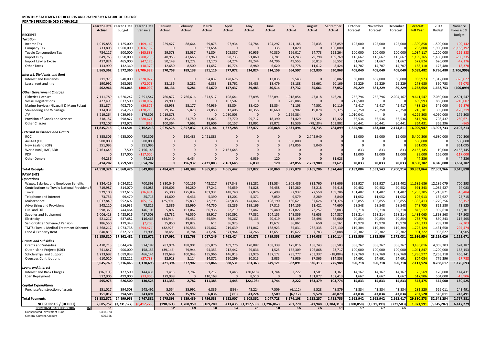### **MONTHLY STATEMENT OF RECEIPTS AND PAYENTS BY NATURE OF EXPENSE FOR THE PERIOD ENDED 30/09/2013**

| ON THE FEMOD ENDED 30/03/2013                                                    |                      |                                     |                          |                      |                    |                    |                    |                   |                       |                       |                    |                     |                     |                      |                      |                                     |                        |                                              |
|----------------------------------------------------------------------------------|----------------------|-------------------------------------|--------------------------|----------------------|--------------------|--------------------|--------------------|-------------------|-----------------------|-----------------------|--------------------|---------------------|---------------------|----------------------|----------------------|-------------------------------------|------------------------|----------------------------------------------|
|                                                                                  | Actual               | Year to Date Year to Date<br>Budget | Year to Date<br>Variance | January<br>Actual    | February<br>Actual | March<br>Actual    | April<br>Actual    | May<br>Actual     | June<br>Actual        | July<br>Actual        | August<br>Actual   | September<br>Actual | October<br>Forecast | November<br>Forecast | December<br>Forecast | <b>Forecast</b><br><b>Full Year</b> | 2013<br><b>Budget</b>  | Variance<br>Forecast &                       |
| <b>RECEIPTS</b>                                                                  |                      |                                     |                          |                      |                    |                    |                    |                   |                       |                       |                    |                     |                     |                      |                      |                                     |                        | <b>Budget</b>                                |
| Taxation                                                                         |                      |                                     |                          |                      |                    |                    |                    |                   |                       |                       |                    |                     |                     |                      |                      |                                     |                        |                                              |
| Income Tax                                                                       | 1,015,858            | 1,125,000                           | (109, 142)               | 229,427              | 88,664             | 59,875             | 97,934             | 94,784            | 104,297               | 141,185               | 95,835             | 103,859             | 125,000             | 125,000              | 125,000              | 1,390,858                           | 1,500,000              | $-109,142$                                   |
| Company Tax                                                                      | 733,808              | 1,900,000                           | (1, 166, 192)            | $\mathbf{0}$         | $\Omega$           | 631,654            | $\mathbf{0}$       | $\mathbf{0}$      | 335                   | 1,820                 | $\mathbf{0}$       | 100,000             | $\mathbf 0$         | $\mathbf 0$          | ſ                    | 733,808                             | 1,900,000              | $-1,166,192$                                 |
| <b>Tuvalu Consumption Tax</b>                                                    | 734,117              | 900,000                             | (165, 883)               | 29,578               | 33,037             | 71,804             | 105,357            | 80,956            | 70,330                | 166,017               | 54,773             | 122,264             | 100,000             | 100,000              | 100,000              | 1,034,117                           | 1,200,000              | $-165,883$                                   |
| <b>Import Duty</b>                                                               | 849,765              | 1,050,000                           | (200, 235)               | 48,955               | 47,666             | 83,960             | 98,733             | 91,860            | 87,781                | 171,243               | 79,798             | 139,769             | 116,667             | 116,667              | 116,667              | 1,199,765                           | 1,400,000              | $-200,235$                                   |
| Import Levy & Excise                                                             | 417,824              | 465,000                             | (47, 176)                | 50,149               | 11,272             | 32,170             | 64,274             | 48,244            | 44,796                | 49,555                | 60,813             | 56,552              | 51,667              | 51,667               | 51,667               | 572,824                             | 620,000                | $-47,176$                                    |
| Other Taxes                                                                      | 113,990              | 132,360                             | (18.37)                  | 12,650               | 8,500              | 11,652             | 10,774             | 8.980             | 6,620                 | 34,778                | 11,612             | 8,424               | 14,707              | 14,707               | 14,707               | 158.110                             | 176,480                | $-18.370$                                    |
|                                                                                  | 3,865,362            | 5,572,360                           | 1,706,999                | 370,758              | 189,138            | 891,116            | 377,072            | 324,824           | 314,159               | 564,597               | 302,830            | 530,868             | 408,040             | 408,040              | 408,040              | 5,089,482                           | 6,796,480              | (1,706,999)                                  |
| Interest, Dividends and Rent                                                     |                      |                                     |                          |                      |                    |                    |                    |                   |                       |                       |                    |                     |                     |                      |                      |                                     |                        |                                              |
| <b>Interest and Dividends</b>                                                    | 211,973              | 540,000                             | (328, 027)               | $\mathbf{0}$         | $\mathbf{0}$       | 54,837             | 128,676            | $\mathbf{0}$      | 12,035                | 9,543                 | $\Omega$           | 6,882               | 60,000              | 652,000              | 60,000               | 983,973                             | 1,312,000              | $-328,027$                                   |
| Lease, rent and hire                                                             | 190,992              | 263,065                             | (72,073)                 | 38,136               | 5,281              | 6,833              | 18,761             | 29,483            | 18,479                | 28,188                | 25,661             | 20,169              | 29,229              | 29,229               | 29,229               | 278,68                              | 350,753                | $-72,073$                                    |
|                                                                                  | 402,966              | 803,065                             | (400,099                 | 38,136               | 5,281              | 61,670             | 147,437            | 29,483            | 30,514                | 37,732                | 25,661             | 27,052              | 89,229              | 681,229              | 89,229               | 1,262,654                           | 1,662,753              | (400, 099)                                   |
| <b>Other Government Charges</b>                                                  |                      |                                     |                          |                      |                    |                    |                    |                   |                       |                       |                    |                     |                     |                      |                      |                                     |                        |                                              |
| <b>Fisheries Licenses</b>                                                        | 7,111,789            | 4,520,242                           | 2,591,547                | 760,872              | 2,766,616          | 1,373,517          | 108,641            | 57,898            | 332,091               | 1,018,054             | 47,818             | 646,281             | 262,796             | 262,796              | 2,004,167            | 9,641,547                           | 7,050,000              | 2,591,547                                    |
| <b>Vessel Registrations</b>                                                      | 427,493              | 637,500                             | (210,007                 | 79,900               | $\mathbf 0$        | $\mathbf 0$        | 102,507            | $\mathbf 0$       | $\mathbf{0}$          | 245,086               | $\mathbf 0$        | $\sqrt{ }$          | 212,500             | $\mathbf 0$          | $\Omega$             | 639,993                             | 850,000                | $-210,007$                                   |
| Marine Services (Nivaga II & Manu Folau)                                         | 351,874              | 408,750                             | (56, 876)                | 65,958               | 55,177             | 44,939             | 35,804             | 38,420            | 15,854                | 41,103                | 44,501             | 10,119              | 45,417              | 45,417               | 45,417               | 488.124                             | 545,000                | $-56,876$                                    |
|                                                                                  | 134,031              | 254,250                             | (120, 219)               | 29,367               | 5,828              | 21,058             | 12,406             | 18,356            | 10,660                | 7,902                 | 19,078             | 9,375               | 28,250              | 28,250               | 28,250               | 218,781                             | 339,000                | $-120,219$                                   |
| Stevedoring and Wharfage<br>.TV                                                  |                      |                                     |                          |                      | $\Omega$           | $\Omega$           |                    |                   | $\Omega$              |                       | $\Omega$           |                     |                     | $\mathbf{0}$         |                      |                                     |                        |                                              |
|                                                                                  | 3,219,264            | 3,039,959                           | 179,305                  | 1,019,878            |                    |                    | 1,030,003          | $\mathbf 0$       |                       | 1,169,384             |                    |                     | 1,010,041           |                      |                      | 4,229,305                           | 4,050,000              | 179,305                                      |
| Provision of Goods and Services                                                  | 318,157              | 598,827                             | (280, 671)               | 19,238               | 21,750             | 33,023             | 27,770             | 99,712            | 18,390                | 31,429                | 51,522             | 15,322              | 66,536              | 66,536               | 66,536               | 517,766                             | 798,437                | $-280,671$                                   |
| <b>Other Charges</b>                                                             | 273,107              | 273,972                             | (865                     | 100,364              | 7,662              | 18,606             | 60,157             | 13,091            | 29,072                | 18,536                | (78, 184)          | 103,802             | 30,441              | 30,441               | 30,441               | 364.431                             | 365,296                | $-865$                                       |
|                                                                                  | 11,835,715           | 9,733,501                           | 2,102,213                | 2,075,578            | 2,857,032          | 1,491,144          | 1,377,288          | 227,477           | 406,068               | 2,531,494             | 84,735             | 784,899             | 1,655,981           | 433,440              | 2,174,811            | 16,099,947                          | 13,997,733             | 2,102,213                                    |
| <b>External Assistance and Grants</b>                                            |                      |                                     |                          |                      |                    |                    |                    |                   |                       |                       |                    |                     |                     |                      |                      |                                     |                        |                                              |
| <b>ROC</b>                                                                       | 5,355,306            | 4,635,000                           | 720,306                  | $\mathbf{0}$         | 190,483            | 2,421,883          | $\Omega$           | $\mathbf{0}$      | $\mathbf{0}$          | $\mathbf{0}$          | 2,742,940          | $\Omega$            | 15,000              | 15,000               | 15,000               | 5,400,306                           | 4,680,000              | 720,306                                      |
| AusAID (CIF)                                                                     | 500,000              | $\Omega$                            | 500,000                  | $\Omega$             | $\Omega$           | $\Omega$           | $\Omega$           | $\Omega$          | $\Omega$              | 500,000               | $\Omega$           | $\mathcal{C}$       | $\Omega$            | $\mathbf{0}$         | ſ                    | 500,000                             | $\Omega$               | 500,000                                      |
| New Zealand (CIF)                                                                | 351,095              | $\Omega$                            | 351,095                  | $\mathbf{0}$         | $\mathbf{0}$       | $\mathbf{0}$       | $\Omega$           | $\Omega$          | $\mathbf{0}$          | 342,056               | 9,040              | C                   | 0                   | $\mathbf 0$          | $\Omega$             | 351,095                             | $\Omega$               | 351,095                                      |
| World Bank, IMF, ADB                                                             | 2,163,645            | 7,500                               | 2,156,145                | $\Omega$             | $\Omega$           | $\Omega$           | 2,163,645          | $\Omega$          | $\Omega$              | $\Omega$              | $\Omega$           |                     | 833                 | 833                  | 833                  | 2,166,145                           | 10,000                 | 2,156,145                                    |
| PDF                                                                              | $\Omega$             | 117,000                             | (117,000)                | $\Omega$             | $\Omega$           | $\Omega$           | $\Omega$           | $\Omega$          | $\mathbf{0}$          | $\Omega$              | $\Omega$           | $\Omega$            | 13,000              | 13,000               | 13,000               | 39,000                              | 156,000                | $-117,000$                                   |
| <b>Other Donors</b>                                                              | 44,236               | $\Omega$                            | 44,236                   | $\Omega$             | 6,454              | $\Omega$           | $\Omega$           | 6,039             | 120                   | $\Omega$              | $\Omega$           | 31,623              | $\Omega$            | $\Omega$             |                      | 44,236                              | $\Omega$               | 44,236                                       |
|                                                                                  | 8.414.282            | 4.759.500                           | 3,654,782                | $\mathbf{0}$         | 196.937            | 2,421,883          | 2,163,645          | 6,039             | 120                   | 842.056               | 2,751,980          | 31.623              | 28.833              | 28,833               | 28,833               | 8.500.782                           | 4,846,000              | 3,654,782                                    |
| <b>Total Receipts</b>                                                            |                      | 24,518,324 20,868,426               | 3,649,898                | 2,484,471            | 3,248,389          | 4,865,813          | 4,065,442          | 587,822           | 750,860               | 3,975,878             | 3,165,206          | 1,374,442           | 2,182,084           | 1,551,543            | 2,700,914            | 30,952,864                          | 27,302,966             | 3,649,898                                    |
| <b>PAYMENTS</b>                                                                  |                      |                                     |                          |                      |                    |                    |                    |                   |                       |                       |                    |                     |                     |                      |                      |                                     |                        |                                              |
| <b>Operations</b>                                                                |                      |                                     |                          |                      |                    |                    |                    |                   |                       |                       |                    |                     |                     |                      |                      |                                     |                        |                                              |
| Wages, Salaries, and Employee Benefits                                           | 8,334,429            | 9,034,822                           | 700,393                  | 1,830,046            | 400,156            | 443,217            | 897,343            | 831,281           | 918,584               | 1,309,436             | 832,760            | 871,606             | 963,927             | 963,927              | 1,323,402            | 11,585,686                          | 12,286,079             | 700,393                                      |
| Contributions to Tuvalu National Provident F                                     | 719,987              | 814,070                             | 94,083                   | 159,606              | 36,280             | 37,241             | 74,659             | 71,828            | 76,458                | 114,280               | 73,218             | 76,418              | 90,452              | 90,452               | 90,452               | 991,343                             | 1,085,427              | 94,083                                       |
| Travel                                                                           | 929,100              | 912,616                             | (16, 484)                | 75,300               | 125,832            | 101,931            | 148,240            | 97,026            | 75,498                | 92,937                | 72,550             | 139,786             | 101,402             | 101,402              | 101,402              | 1,233,305                           | 1,216,821              | $-16,484$                                    |
| Telephone and Internet                                                           | 73,756               | 99,470                              | 25,715                   | 14,600               | 6,436              | 5,390              | 13,201             | 5,371             | 7,050                 | 9,579                 | 8,289              | 3,840               | 11,052              | 11,052               | 11,052               | 106.913                             | 132,627                | 25,715                                       |
| Maintenance                                                                      | 1,017,849            | 952,692                             | (65, 15)                 | (25, 901)            | 35,839             | 72,795             | 242,838            | 144,466           | 198,190               | 130,621               | 87,626             | 131,376             | 105,855             | 105,855              | 105,855              | 1,335,413                           | 1,270,256              | $-65,157$                                    |
| Advertising and Provisions                                                       | 543,110              | 616,935                             | 73,825                   | 2,386                | 53,990             | 44,750             | 65,236             | 139.166           | 57,315                | 114,156               | 21,421             | 44,690              | 68,548              | 68,548               | 68,548               | 748,755                             | 822,580                | 73,825                                       |
| Fuel and Oil                                                                     | 598,363              | 744,464                             | 146,101                  | 5,892                | 153,067            | 66,936             | 22,219             | 33,442            | 39,440                | 121,027               | 73,257             | 83,083              | 82,718              | 82,718               | 82,718               | 846,517                             | 992,618                | 146,101                                      |
|                                                                                  | 1,006,423            | 1,423,926                           | 417,503                  | 68,731               | 76,550             | 59,917             | 290,892            | 77,831            | 104,155               | 148,356               | 75,653             | 104,337             | 158,214             | 158,214              | 158,214              | 1,481,065                           | 1,898,568              | 417,503                                      |
| Supplies and Equipment<br>Electricity                                            | 521,217              | 637,682                             | 116,465                  | (44, 944)            | 85,451             | 65,594             | 79,267             | 65,135            | 90,419                | 113,199               | 28,496             | 38,600              | 70,854              | 70,854               | 70,854               | 733,778                             | 850,243                | 116,465                                      |
|                                                                                  |                      | 179.348                             |                          |                      |                    |                    |                    | $\mathbf{0}$      |                       |                       | 650                |                     |                     | 19.928               |                      |                                     |                        |                                              |
| Senior Citizen Scheme / Pension<br><b>TMTS (Tuvalu Medical Treatment Scheme)</b> | 186,550<br>1,368,212 | 1,073,738                           | (7, 203)<br>(294, 474)   | 35,850<br>(32, 925)  | 19,822<br>120,556  | 611<br>145,662     | 36,925<br>219,639  | 131,062           | 19,672<br>188,923     | 36,861<br>85,831      | 232,335            | 36,161<br>277,130   | 19,928<br>119,304   | 119,304              | 19,928<br>119,304    | 246,333<br>1,726,124                | 239,130<br>1,431,650   | $-7,203$<br>$-294,474$                       |
|                                                                                  | 840.815              | 872.720                             | 31.905                   | 28.451               | 8.784              | 43.202             | 671.964            | 24.266            | 13.651                | 19.627                | 7.783              | 23.088              | 20.302              | 20.302               | 20.302               | 901.722                             | 933.627                |                                              |
| Land & Property Rent                                                             | 16,139,810           | 17,362,482                          | 1,222,671                | 2,117,092            | 1,122,763          | 1,087,246          | 2,762,424          | 1,620,873         | 1,789,353             | 2,295,907             | 1,514,038          | 1,830,114           | 1,812,556           | 1,812,556            | 2,172,031            | 21,936,954                          | 23,159,626             | 31,905<br>1,222,671                          |
| <b>Grants and Subsidies</b>                                                      |                      |                                     |                          |                      |                    |                    |                    |                   |                       |                       |                    |                     |                     |                      |                      |                                     |                        |                                              |
|                                                                                  | 2,470,215            | 3,044,402                           | 574,187                  | 287,974              | 188,901            | 305,876            | 409,776            | 120,087           | 108,339               | 475,016               | 188,743            | 385,503             | 338,267             | 338,267              | 338,267              | 3,485,016                           | 4,059,203              | 574,187                                      |
| <b>Grants and Subsidies</b>                                                      |                      |                                     |                          |                      |                    |                    |                    |                   |                       |                       |                    |                     |                     |                      |                      |                                     |                        |                                              |
| Outer Island Projects (SDE)                                                      | 741,847              | 900,000<br>1,689,838                | 158,153<br>466,141       | (39, 146)<br>139,649 | 79,944<br>100,943  | 94,353<br>135,966  | 212,442<br>146,013 | 29,836<br>82,926  | 1,525                 | 162,309<br>295,777    | 106,868<br>203,337 | 93,717<br>(18,084)  | 100,000<br>187,760  | 100,000<br>187,760   | 100,000<br>187,760   | 1,041,847<br>1,786,977              | 1,200,000<br>2,253,118 | 158,153<br>466,141                           |
| Scholarships and Support                                                         | 1,223,697            |                                     |                          |                      |                    |                    |                    |                   | 137,172               |                       |                    |                     |                     |                      |                      |                                     |                        |                                              |
| <b>Overseas Contributions</b>                                                    | 610,010              | 582,222<br>6,216,463                | (27.78)<br>1,170,693     | 32,918<br>421,394    | 8,114<br>377,902   | 14,872<br>551,066  | 120,299<br>888,531 | 30,515<br>263,363 | 2,085<br>249,121      | 48,989<br>982,091     | 37,365<br>536,313  | 314,853<br>775,988  | 64,691<br>690,718   | 64,691<br>690,718    | 64,691<br>690,718    | 804.08                              | 776,296                | $-27.78$<br>1,170,693                        |
|                                                                                  | 5,045,769            |                                     |                          |                      |                    |                    |                    |                   |                       |                       |                    |                     |                     |                      |                      | 7,117,924                           | 8,288,617              |                                              |
| Loans and Interest                                                               |                      | 127,500                             |                          |                      |                    |                    |                    |                   |                       | 2,222                 |                    |                     |                     |                      |                      | 25,569                              | 170,000                | 144,431                                      |
| Interest and Bank Charges                                                        | (16, 931)            |                                     | 144,431                  | 1,415                | 2,782              | 1,217              | 1,445              | (30, 618)         | 1,744                 |                       | 1,501              | 1,361               | 14,167              | 14,167               | 14,167               |                                     |                        |                                              |
| Loan Repayment                                                                   | 512,906              | 499.000<br>626,500                  | (13.90)<br>130,525       | 129.938              | $\mathbf{0}$       | 110.168<br>111,385 | $\mathbf{0}$       | 8,510             | $\mathbf{0}$<br>1,744 | $\mathbf{0}$<br>2,222 | 161,877            | 102,413             | 1,667               | 1,667<br>15,833      | 1,667                | 517.906                             | 504,000                | $-13.906$<br>130,525                         |
|                                                                                  |                      |                                     |                          | 131,353              | 2,782              |                    | 1,445              | (22, 108)         |                       |                       | 163,379            | 103,774             | 15,833              |                      | 15,833               | 543,475                             | 674,000                |                                              |
|                                                                                  | 495,975              |                                     |                          |                      |                    |                    |                    |                   |                       |                       |                    |                     |                     |                      |                      |                                     |                        |                                              |
| <b>Capital Expenditures</b>                                                      |                      |                                     |                          |                      |                    |                    |                    |                   |                       |                       |                    |                     |                     |                      |                      |                                     |                        |                                              |
| Purchase/construction of assets                                                  | 151,017              | 394,508                             | 243,491                  | 5,554                | 35,992             | 6,836              | (393)              | 43,224            | 7,509                 | (6, 112)              | 9,528              | 48,879              | 43,834              | 43,834               | 43,834               | 282,520                             | 526,011                |                                              |
|                                                                                  | 151.017              | 394.508                             | 243.491                  | 5.554                | 35,992             | 6.836              | (393)              | 43.224            | 7.509                 | (6.112)               | 9.528              | 48.879              | 43.834              | 43.834               | 43.834               | 282.520                             | 526.011                |                                              |
| <b>Total Payments</b>                                                            | 21,832,572           | 24,599,953                          | 2,767,381                | 2,675,393            | 1,539,439          | 1,756,533          | 3,652,007          | 1,905,352         | 2,047,728             | 3,274,108             | 2,223,257          | 2,758,755           | 2,562,942           | 2,562,942            | 2,922,417            | 29,880,873                          | 32,648,254             |                                              |
| <b>NET SURPLUS / (DEFICIT)</b>                                                   | 2.685.752            | (3.731.527)                         | 6.417.27                 | (190.921)            | 1.708.950          | 3.109.280          | 413.435            | (1.317.530)       | (1.296.867)           | 701.770               | 941.948            | (1.384.313)         | (380.858)           | (1.011.399)          | (221.503)            | 1.071.991                           | (5.345.287)            |                                              |
| <b>FORECAST CASH POSITION</b><br>\$M                                             | 6.1                  |                                     |                          | 3.2                  | 4.9                | 8.0                | 8.4                | 7.1               | 5.8                   | 6.5                   | 7.5                | 6.1                 | 5.7                 | 4.7                  | 4.5                  |                                     |                        |                                              |
| Consolidated Investment Fund<br><b>General Current Account</b>                   | 5,393,673<br>695.356 |                                     |                          |                      |                    |                    |                    |                   |                       |                       |                    |                     |                     |                      |                      |                                     |                        | 243,491<br>243.491<br>2,767,381<br>6,417,279 |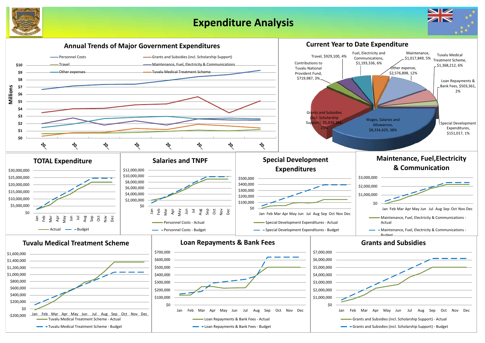

## **Expenditure Analysis**



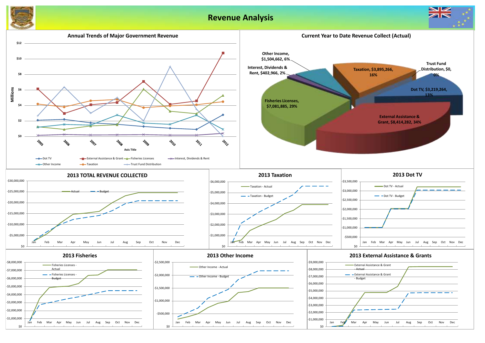## **Revenue Analysis**



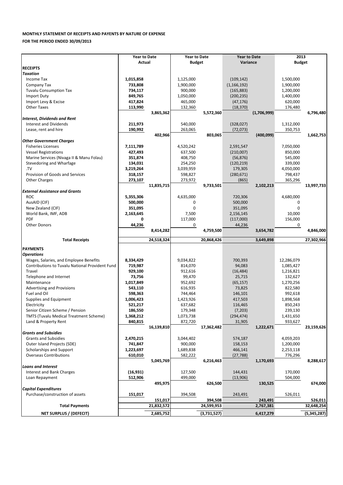### **MONTHLY STATEMENT OF RECEIPTS AND PAYENTS BY NATURE OF EXPENSE**

**FOR THE PERIOD ENDED 30/09/2013**

|                                                        | <b>Year to Date</b>  |            | <b>Year to Date</b> |             | <b>Year to Date</b> |             | 2013          |             |
|--------------------------------------------------------|----------------------|------------|---------------------|-------------|---------------------|-------------|---------------|-------------|
|                                                        | <b>Actual</b>        |            | <b>Budget</b>       |             | Variance            |             | <b>Budget</b> |             |
| <b>RECEIPTS</b>                                        |                      |            |                     |             |                     |             |               |             |
| <b>Taxation</b>                                        |                      |            |                     |             |                     |             |               |             |
| Income Tax                                             | 1,015,858            |            | 1,125,000           |             | (109, 142)          |             | 1,500,000     |             |
| Company Tax                                            | 733,808              |            | 1,900,000           |             | (1, 166, 192)       |             | 1,900,000     |             |
| <b>Tuvalu Consumption Tax</b>                          | 734,117              |            | 900,000             |             | (165, 883)          |             | 1,200,000     |             |
| <b>Import Duty</b>                                     | 849,765              |            | 1,050,000           |             | (200, 235)          |             | 1,400,000     |             |
| Import Levy & Excise                                   | 417,824              |            | 465,000             |             | (47, 176)           |             | 620,000       |             |
| <b>Other Taxes</b>                                     | 113,990              |            | 132,360             |             | (18, 370)           |             | 176,480       |             |
|                                                        |                      | 3,865,362  |                     | 5,572,360   |                     | (1,706,999) |               | 6,796,480   |
| <b>Interest, Dividends and Rent</b>                    |                      |            |                     |             |                     |             |               |             |
| <b>Interest and Dividends</b>                          | 211,973              |            | 540,000             |             | (328, 027)          |             | 1,312,000     |             |
| Lease, rent and hire                                   | 190,992              |            | 263,065             |             | (72, 073)           |             | 350,753       |             |
|                                                        |                      | 402,966    |                     | 803,065     |                     | (400, 099)  |               | 1,662,753   |
| <b>Other Government Charges</b>                        |                      |            |                     |             |                     |             |               |             |
| <b>Fisheries Licenses</b>                              | 7,111,789            |            | 4,520,242           |             | 2,591,547           |             | 7,050,000     |             |
| <b>Vessel Registrations</b>                            | 427,493              |            | 637,500             |             | (210,007)           |             | 850,000       |             |
| Marine Services (Nivaga II & Manu Folau)               | 351,874              |            | 408,750             |             |                     |             | 545,000       |             |
|                                                        |                      |            |                     |             | (56, 876)           |             |               |             |
| Stevedoring and Wharfage<br>.TV                        | 134,031<br>3,219,264 |            | 254,250             |             | (120, 219)          |             | 339,000       |             |
|                                                        |                      |            | 3,039,959           |             | 179,305             |             | 4,050,000     |             |
| Provision of Goods and Services                        | 318,157              |            | 598,827             |             | (280, 671)          |             | 798,437       |             |
| <b>Other Charges</b>                                   | 273,107              |            | 273,972             |             | (865)               |             | 365,296       |             |
|                                                        |                      | 11,835,715 |                     | 9,733,501   |                     | 2,102,213   |               | 13,997,733  |
| <b>External Assistance and Grants</b>                  |                      |            |                     |             |                     |             |               |             |
| <b>ROC</b>                                             | 5,355,306            |            | 4,635,000           |             | 720,306             |             | 4,680,000     |             |
| AusAID (CIF)                                           | 500,000              |            | 0                   |             | 500,000             |             | 0             |             |
| New Zealand (CIF)                                      | 351,095              |            | 0                   |             | 351,095             |             | $\mathbf 0$   |             |
| World Bank, IMF, ADB                                   | 2,163,645            |            | 7,500               |             | 2,156,145           |             | 10,000        |             |
| PDF                                                    | 0                    |            | 117,000             |             | (117,000)           |             | 156,000       |             |
| <b>Other Donors</b>                                    | 44,236               |            | 0                   |             | 44,236              |             | 0             |             |
|                                                        |                      | 8,414,282  |                     | 4,759,500   |                     | 3,654,782   |               | 4,846,000   |
| <b>Total Receipts</b>                                  |                      | 24,518,324 |                     | 20,868,426  |                     | 3,649,898   |               | 27,302,966  |
|                                                        |                      |            |                     |             |                     |             |               |             |
| <b>PAYMENTS</b>                                        |                      |            |                     |             |                     |             |               |             |
| <b>Operations</b>                                      |                      |            |                     |             |                     |             |               |             |
| Wages, Salaries, and Employee Benefits                 | 8,334,429            |            | 9,034,822           |             | 700,393             |             | 12,286,079    |             |
| <b>Contributions to Tuvalu National Provident Fund</b> | 719,987              |            | 814,070             |             | 94,083              |             | 1,085,427     |             |
| Travel                                                 | 929,100              |            | 912,616             |             | (16, 484)           |             | 1,216,821     |             |
| Telephone and Internet                                 | 73,756               |            | 99,470              |             | 25,715              |             | 132,627       |             |
| Maintenance                                            | 1,017,849            |            | 952,692             |             | (65, 157)           |             | 1,270,256     |             |
| <b>Advertising and Provisions</b>                      | 543,110              |            | 616,935             |             | 73,825              |             | 822,580       |             |
| Fuel and Oil                                           | 598,363              |            | 744,464             |             | 146,101             |             | 992,618       |             |
| Supplies and Equipment                                 | 1,006,423            |            | 1,423,926           |             | 417,503             |             | 1,898,568     |             |
| Electricity                                            | 521,217              |            | 637,682             |             | 116,465             |             | 850,243       |             |
| Senior Citizen Scheme / Pension                        | 186,550              |            | 179,348             |             | (7, 203)            |             | 239,130       |             |
| <b>TMTS (Tuvalu Medical Treatment Scheme)</b>          | 1,368,212            |            | 1,073,738           |             | (294, 474)          |             | 1,431,650     |             |
| Land & Property Rent                                   | 840,815              |            | 872,720             |             | 31,905              |             | 933,627       |             |
|                                                        |                      | 16,139,810 |                     | 17,362,482  |                     | 1,222,671   |               | 23,159,626  |
| <b>Grants and Subsidies</b>                            |                      |            |                     |             |                     |             |               |             |
| <b>Grants and Subsidies</b>                            | 2,470,215            |            | 3,044,402           |             | 574,187             |             | 4,059,203     |             |
| Outer Island Projects (SDE)                            | 741,847              |            | 900,000             |             | 158,153             |             | 1,200,000     |             |
| Scholarships and Support                               | 1,223,697            |            | 1,689,838           |             | 466,141             |             | 2,253,118     |             |
| <b>Overseas Contributions</b>                          | 610,010              |            | 582,222             |             | (27, 788)           |             | 776,296       |             |
|                                                        |                      | 5,045,769  |                     | 6,216,463   |                     | 1,170,693   |               | 8,288,617   |
| <b>Loans and Interest</b>                              |                      |            |                     |             |                     |             |               |             |
| Interest and Bank Charges                              | (16, 931)            |            | 127,500             |             | 144,431             |             | 170,000       |             |
| Loan Repayment                                         | 512,906              |            | 499,000             |             | (13,906)            |             | 504,000       |             |
|                                                        |                      | 495,975    |                     | 626,500     |                     | 130,525     |               | 674,000     |
| <b>Capital Expenditures</b>                            |                      |            |                     |             |                     |             |               |             |
| Purchase/construction of assets                        | 151,017              |            | 394,508             |             | 243,491             |             | 526,011       |             |
|                                                        |                      | 151,017    |                     | 394,508     |                     | 243,491     |               | 526,011     |
| <b>Total Payments</b>                                  |                      | 21,832,572 |                     | 24,599,953  |                     | 2,767,381   |               | 32,648,254  |
|                                                        |                      |            |                     |             |                     |             |               |             |
| <b>NET SURPLUS / (DEFECIT)</b>                         |                      | 2,685,752  |                     | (3,731,527) |                     | 6,417,279   |               | (5,345,287) |